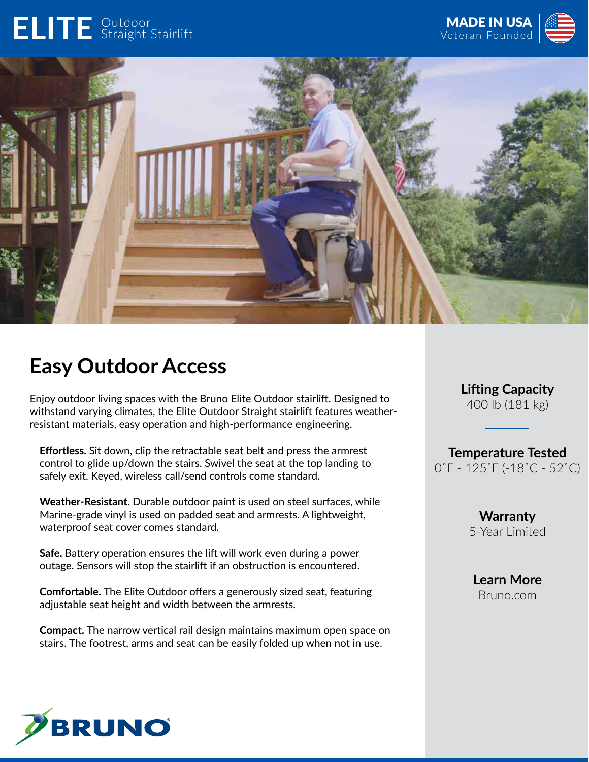## ELITE Outdoor





## **Easy Outdoor Access**

Enjoy outdoor living spaces with the Bruno Elite Outdoor stairlift. Designed to withstand varying climates, the Elite Outdoor Straight stairlift features weatherresistant materials, easy operation and high-performance engineering.

**Effortless.** Sit down, clip the retractable seat belt and press the armrest control to glide up/down the stairs. Swivel the seat at the top landing to safely exit. Keyed, wireless call/send controls come standard.

**Weather-Resistant.** Durable outdoor paint is used on steel surfaces, while Marine-grade vinyl is used on padded seat and armrests. A lightweight, waterproof seat cover comes standard.

**Safe.** Battery operation ensures the lift will work even during a power outage. Sensors will stop the stairlift if an obstruction is encountered.

**Comfortable.** The Elite Outdoor offers a generously sized seat, featuring adjustable seat height and width between the armrests.

**Compact.** The narrow vertical rail design maintains maximum open space on stairs. The footrest, arms and seat can be easily folded up when not in use.



**Lifting Capacity** 400 lb (181 kg)

**Temperature Tested** 0˚F - 125˚F (-18˚C - 52˚C)

> **Warranty** 5-Year Limited

**Learn More** Bruno.com